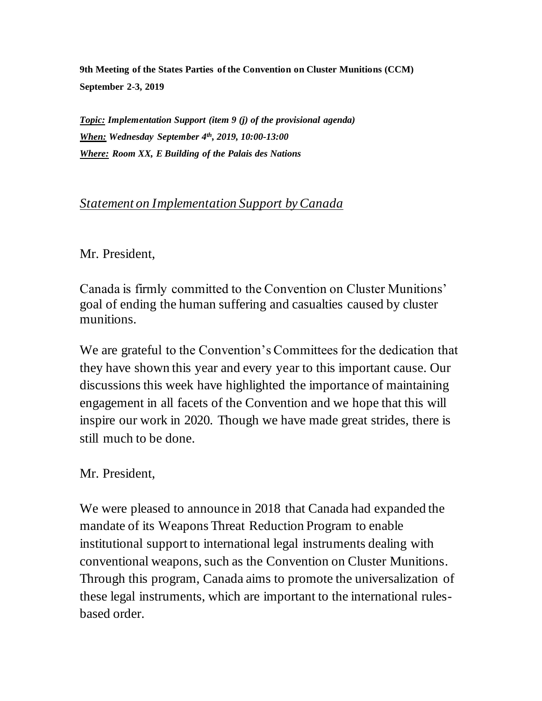**9th Meeting of the States Parties of the Convention on Cluster Munitions (CCM) September 2-3, 2019**

*Topic: Implementation Support (item 9 (j) of the provisional agenda) When: Wednesday September 4th, 2019, 10:00-13:00 Where: Room XX, E Building of the Palais des Nations*

## *Statement on Implementation Support by Canada*

Mr. President,

Canada is firmly committed to the Convention on Cluster Munitions' goal of ending the human suffering and casualties caused by cluster munitions.

We are grateful to the Convention's Committees for the dedication that they have shown this year and every year to this important cause. Our discussions this week have highlighted the importance of maintaining engagement in all facets of the Convention and we hope that this will inspire our work in 2020. Though we have made great strides, there is still much to be done.

Mr. President,

We were pleased to announce in 2018 that Canada had expanded the mandate of its Weapons Threat Reduction Program to enable institutional support to international legal instruments dealing with conventional weapons, such as the Convention on Cluster Munitions. Through this program, Canada aims to promote the universalization of these legal instruments, which are important to the international rulesbased order.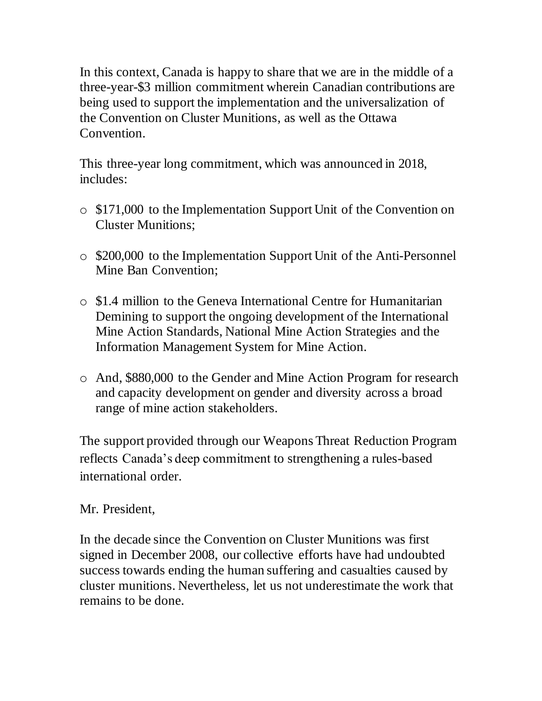In this context, Canada is happy to share that we are in the middle of a three-year-\$3 million commitment wherein Canadian contributions are being used to support the implementation and the universalization of the Convention on Cluster Munitions, as well as the Ottawa **Convention** 

This three-year long commitment, which was announced in 2018, includes:

- o \$171,000 to the Implementation Support Unit of the Convention on Cluster Munitions;
- o \$200,000 to the Implementation Support Unit of the Anti-Personnel Mine Ban Convention;
- o \$1.4 million to the Geneva International Centre for Humanitarian Demining to support the ongoing development of the International Mine Action Standards, National Mine Action Strategies and the Information Management System for Mine Action.
- o And, \$880,000 to the Gender and Mine Action Program for research and capacity development on gender and diversity across a broad range of mine action stakeholders.

The support provided through our Weapons Threat Reduction Program reflects Canada's deep commitment to strengthening a rules-based international order.

## Mr. President,

In the decade since the Convention on Cluster Munitions was first signed in December 2008, our collective efforts have had undoubted success towards ending the human suffering and casualties caused by cluster munitions. Nevertheless, let us not underestimate the work that remains to be done.